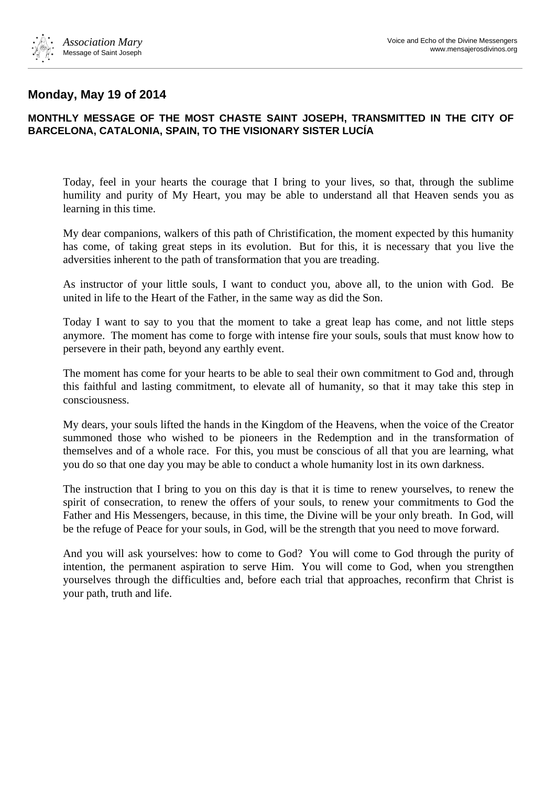

## **Monday, May 19 of 2014**

## **MONTHLY MESSAGE OF THE MOST CHASTE SAINT JOSEPH, TRANSMITTED IN THE CITY OF BARCELONA, CATALONIA, SPAIN, TO THE VISIONARY SISTER LUCÍA**

Today, feel in your hearts the courage that I bring to your lives, so that, through the sublime humility and purity of My Heart, you may be able to understand all that Heaven sends you as learning in this time.

My dear companions, walkers of this path of Christification, the moment expected by this humanity has come, of taking great steps in its evolution. But for this, it is necessary that you live the adversities inherent to the path of transformation that you are treading.

As instructor of your little souls, I want to conduct you, above all, to the union with God. Be united in life to the Heart of the Father, in the same way as did the Son.

Today I want to say to you that the moment to take a great leap has come, and not little steps anymore. The moment has come to forge with intense fire your souls, souls that must know how to persevere in their path, beyond any earthly event.

The moment has come for your hearts to be able to seal their own commitment to God and, through this faithful and lasting commitment, to elevate all of humanity, so that it may take this step in consciousness.

My dears, your souls lifted the hands in the Kingdom of the Heavens, when the voice of the Creator summoned those who wished to be pioneers in the Redemption and in the transformation of themselves and of a whole race. For this, you must be conscious of all that you are learning, what you do so that one day you may be able to conduct a whole humanity lost in its own darkness.

The instruction that I bring to you on this day is that it is time to renew yourselves, to renew the spirit of consecration, to renew the offers of your souls, to renew your commitments to God the Father and His Messengers, because, in this time, the Divine will be your only breath. In God, will be the refuge of Peace for your souls, in God, will be the strength that you need to move forward.

And you will ask yourselves: how to come to God? You will come to God through the purity of intention, the permanent aspiration to serve Him. You will come to God, when you strengthen yourselves through the difficulties and, before each trial that approaches, reconfirm that Christ is your path, truth and life.